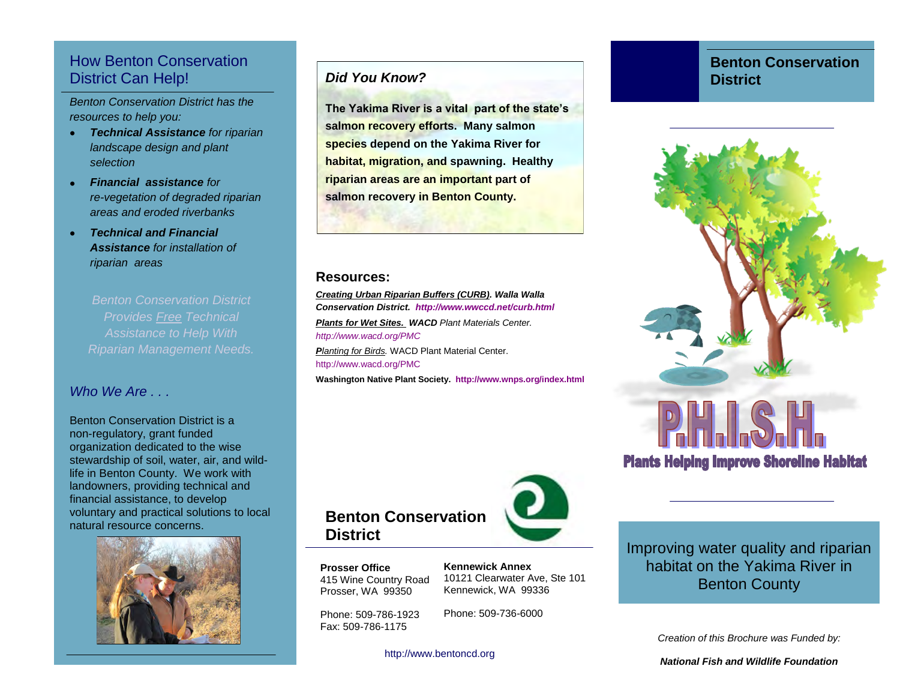### How Benton Conservation District Can Help!

*Benton Conservation District has the resources to help you:* 

- *Technical Assistance for riparian landscape design and plant selection*
- *Financial assistance for re-vegetation of degraded riparian areas and eroded riverbanks*
- *Technical and Financial Assistance for installation of riparian areas*

*Benton Conservation District Provides Free Technical Riparian Management Needs.* 

### *Who We Are*

Benton Conservation District is a non-regulatory, grant funded organization dedicated to the wise stewardship of soil, water, air, and wildlife in Benton County. We work with landowners, providing technical and financial assistance, to develop voluntary and practical solutions to local natural resource concerns.



### *Did You Know?*

**The Yakima River is a vital part of the state's salmon recovery efforts. Many salmon species depend on the Yakima River for habitat, migration, and spawning. Healthy riparian areas are an important part of salmon recovery in Benton County.** 

#### **Resources:**

*Creating Urban Riparian Buffers (CURB). Walla Walla Conservation District. http://www.wwccd.net/curb.html Plants for Wet Sites. WACD Plant Materials Center. http://www.wacd.org/PMC Planting for Birds.* WACD Plant Material Center. http://www.wacd.org/PMC

**Washington Native Plant Society. http://www.wnps.org/index.html** 



**Prosser Office**  415 Wine Country Road Prosser, WA 99350

**District** 

**Kennewick Annex**  10121 Clearwater Ave, Ste 101 Kennewick, WA 99336

Phone: 509-786-1923 Fax: 509-786-1175

Phone: 509-736-6000

http://www.bentoncd.org

### **Benton Conservation District**



**Plants Helping Improve Shoreline Habitat** 

Improving water quality and riparian habitat on the Yakima River in Benton County

*Creation of this Brochure was Funded by:* 

*National Fish and Wildlife Foundation*